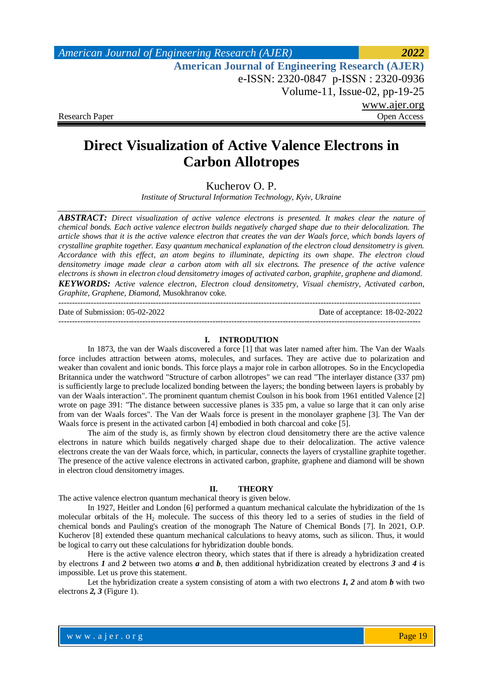# **Direct Visualization of Active Valence Electrons in Carbon Allotropes**

Kucherov O. P.

*Institute of Structural Information Technology, Kyiv, Ukraine*

*ABSTRACT: Direct visualization of active valence electrons is presented. It makes clear the nature of chemical bonds. Each active valence electron builds negatively charged shape due to their delocalization. The article shows that it is the active valence electron that creates the van der Waals force, which bonds layers of crystalline graphite together. Easy quantum mechanical explanation of the electron cloud densitometry is given. Accordance with this effect, an atom begins to illuminate, depicting its own shape. The electron cloud densitometry image made clear a carbon atom with all six electrons. The presence of the active valence electrons is shown in electron cloud densitometry images of activated carbon, graphite, graphene and diamond. KEYWORDS: Active valence electron, Electron cloud densitometry, Visual chemistry, Activated carbon, Graphite, Graphene, Diamond,* Musokhranov coke*.*

-------------------------------------------------------------------------------------------------------------------------------------- Date of Submission: 05-02-2022 Date of acceptance: 18-02-2022 --------------------------------------------------------------------------------------------------------------------------------------

#### **I. INTRODUTION**

In 1873, the van der Waals discovered a force [1] that was later named after him. The Van der Waals force includes attraction between atoms, molecules, and surfaces. They are active due to polarization and weaker than covalent and ionic bonds. This force plays a major role in carbon allotropes. So in the Encyclopedia Britannica under the watchword "Structure of carbon allotropes" we can read "The interlayer distance (337 pm) is sufficiently large to preclude localized bonding between the layers; the bonding between layers is probably by van der Waals interaction". The prominent quantum chemist Coulson in his book from 1961 entitled Valence [2] wrote on page 391: "The distance between successive planes is 335 pm, a value so large that it can only arise from van der Waals forces". The Van der Waals force is present in the monolayer graphene [3]. The Van der Waals force is present in the activated carbon [4] embodied in both charcoal and coke [5].

The aim of the study is, as firmly shown by electron cloud densitometry there are the active valence electrons in nature which builds negatively charged shape due to their delocalization. The active valence electrons create the van der Waals force, which, in particular, connects the layers of crystalline graphite together. The presence of the active valence electrons in activated carbon, graphite, graphene and diamond will be shown in electron cloud densitometry images.

#### **II. THEORY**

The active valence electron quantum mechanical theory is given below.

In 1927, Heitler and London [6] performed a quantum mechanical calculate the hybridization of the 1s molecular orbitals of the  $H_2$  molecule. The success of this theory led to a series of studies in the field of chemical bonds and Pauling's creation of the monograph The Nature of Chemical Bonds [7]. In 2021, O.P. Kucherov [8] extended these quantum mechanical calculations to heavy atoms, such as silicon. Thus, it would be logical to carry out these calculations for hybridization double bonds.

Here is the active valence electron theory, which states that if there is already a hybridization created by electrons *1* and *2* between two atoms *a* and *b*, then additional hybridization created by electrons *3* and *4* is impossible. Let us prove this statement.

Let the hybridization create a system consisting of atom a with two electrons *1, 2* and atom *b* with two electrons *2, 3* (Figure 1).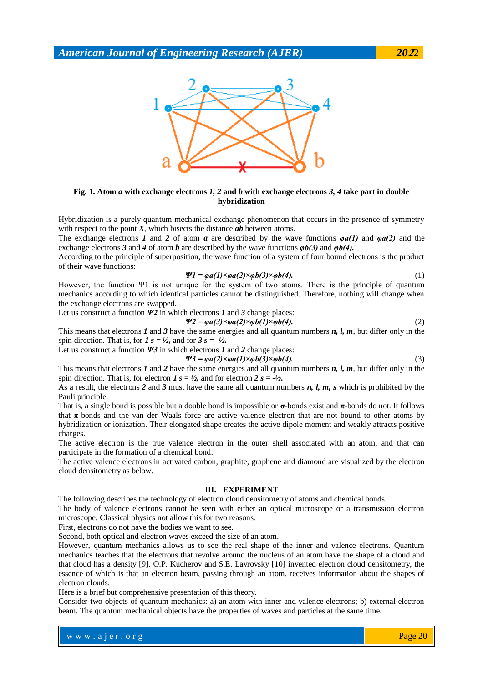

## **Fig. 1. Atom** *a* **with exchange electrons** *1, 2* **and** *b* **with exchange electrons** *3, 4* **take part in double hybridization**

Hybridization is a purely quantum mechanical exchange phenomenon that occurs in the presence of symmetry with respect to the point  $X$ , which bisects the distance  $ab$  between atoms.

The exchange electrons *1* and *2* of atom *a* are described by the wave functions *φa(1)* and *φa(2)* and the exchange electrons *3* and *4* of atom *b* are described by the wave functions *φb(3)* and *φb(4).*

According to the principle of superposition, the wave function of a system of four bound electrons is the product of their wave functions:

$$
\Psi1 = \varphi a(1) \times \varphi a(2) \times \varphi b(3) \times \varphi b(4). \tag{1}
$$

However, the function Ψ1 is not unique for the system of two atoms. There is the principle of quantum mechanics according to which identical particles cannot be distinguished. Therefore, nothing will change when the exchange electrons are swapped.

Let us construct a function 
$$
\Psi
$$
2 in which electrons *I* and 3 change places:  

$$
\Psi 2 = \omega a(3) \times \omega a(2) \times \omega b(1) \times \omega b(4).
$$
 (2)

This means that electrons *1* and *3* have the same energies and all quantum numbers *n, l, m*, but differ only in the

spin direction. That is, for  $I_s = \frac{1}{2}$ , and for  $3s = -\frac{1}{2}$ .

Let us construct a function *Ψ3* in which electrons *1* and *2* change places:

 $\Psi$ 3 =  $\varphi a(2) \times \varphi a(1) \times \varphi b(3) \times \varphi b(4)$ . (3)

This means that electrons *I* and 2 have the same energies and all quantum numbers *n*, *l*, *m*, but differ only in the spin direction. That is, for electron 
$$
I
$$
  $s = \frac{1}{2}$ , and for electron  $2s = \frac{1}{2}$ .

As a result, the electrons *2* and *3* must have the same all quantum numbers *n, l, m, s* which is prohibited by the Pauli principle.

That is, a single bond is possible but a double bond is impossible or **σ**-bonds exist and **π**-bonds do not. It follows that **π**-bonds and the van der Waals force are active valence electron that are not bound to other atoms by hybridization or ionization. Their elongated shape creates the active dipole moment and weakly attracts positive charges.

The active electron is the true valence electron in the outer shell associated with an atom, and that can participate in the formation of a chemical bond.

The active valence electrons in activated carbon, graphite, graphene and diamond are visualized by the electron cloud densitometry as below.

#### **III. EXPERIMENT**

The following describes the technology of electron cloud densitometry of atoms and chemical bonds.

The body of valence electrons cannot be seen with either an optical microscope or a transmission electron microscope. Classical physics not allow this for two reasons.

First, electrons do not have the bodies we want to see.

Second, both optical and electron waves exceed the size of an atom.

However, quantum mechanics allows us to see the real shape of the inner and valence electrons. Quantum mechanics teaches that the electrons that revolve around the nucleus of an atom have the shape of a cloud and that cloud has a density [9]. O.P. Kucherov and S.E. Lavrovsky [10] invented electron cloud densitometry, the essence of which is that an electron beam, passing through an atom, receives information about the shapes of electron clouds.

Here is a brief but comprehensive presentation of this theory.

Consider two objects of quantum mechanics: a) an atom with inner and valence electrons; b) external electron beam. The quantum mechanical objects have the properties of waves and particles at the same time.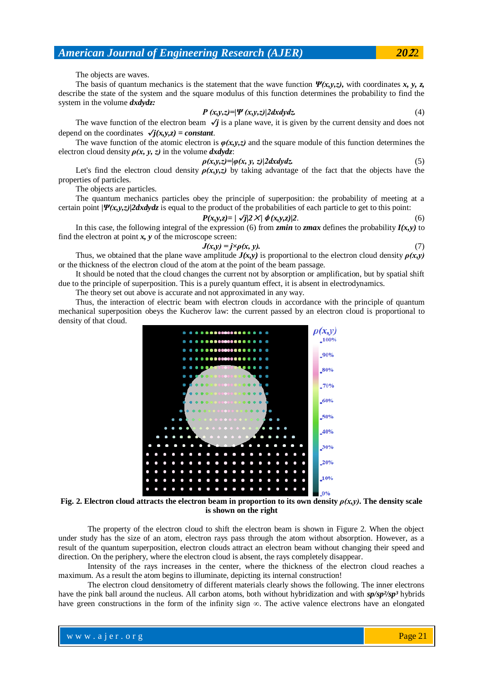The objects are waves.

The basis of quantum mechanics is the statement that the wave function *Ψ(x,y,z),* with coordinates *x, y, z,* describe the state of the system and the square modulus of this function determines the probability to find the system in the volume *dxdydz:*

$$
P(x, y, z) = |\Psi(x, y, z)| 2 dx dy dz.
$$
\n(4)

The wave function of the electron beam  $\sqrt{\textit{j}}$  is a plane wave, it is given by the current density and does not depend on the coordinates  $\sqrt{j(x,y,z)}$  = constant.

The wave function of the atomic electron is  $\varphi(x,y,z)$  and the square module of this function determines the electron cloud density  $\rho(x, y, z)$  in the volume  $dxdydz$ :

$$
\rho(x, y, z) = |\varphi(x, y, z)| 2 dx dy dz. \tag{5}
$$

Let's find the electron cloud density  $\rho(x,y,z)$  by taking advantage of the fact that the objects have the properties of particles.

The objects are particles.

The quantum mechanics particles obey the principle of superposition: the probability of meeting at a certain point *|Ψ(x,y,z)|2dxdydz* is equal to the product of the probabilities of each particle to get to this point:

$$
P(x, y, z) = \frac{\sqrt{j}}{2} \frac{\sqrt{j}}{\sqrt{k}} \frac{\phi(x, y, z)}{2}.
$$
\n<sup>(6)</sup>

In this case, the following integral of the expression (6) from *zmin* to *zmax* defines the probability  $I(x, y)$  to find the electron at point *x, y* of the microscope screen:

$$
J(x,y) = j \times \rho(x, y). \tag{7}
$$

Thus, we obtained that the plane wave amplitude  $J(x,y)$  is proportional to the electron cloud density  $\rho(x,y)$ or the thickness of the electron cloud of the atom at the point of the beam passage.

It should be noted that the cloud changes the current not by absorption or amplification, but by spatial shift due to the principle of superposition. This is a purely quantum effect, it is absent in electrodynamics.

The theory set out above is accurate and not approximated in any way.

Thus, the interaction of electric beam with electron clouds in accordance with the principle of quantum mechanical superposition obeys the Kucherov law: the current passed by an electron cloud is proportional to density of that cloud.



#### **Fig.** 2. Electron cloud attracts the electron beam in proportion to its own density  $\rho(x,y)$ . The density scale **is shown on the right**

The property of the electron cloud to shift the electron beam is shown in Figure 2. When the object under study has the size of an atom, electron rays pass through the atom without absorption. However, as a result of the quantum superposition, electron clouds attract an electron beam without changing their speed and direction. On the periphery, where the electron cloud is absent, the rays completely disappear.

Intensity of the rays increases in the center, where the thickness of the electron cloud reaches a maximum. As a result the atom begins to illuminate, depicting its internal construction!

The electron cloud densitometry of different materials clearly shows the following. The inner electrons have the pink ball around the nucleus. All carbon atoms, both without hybridization and with *sp/sp<sup>2</sup>/sp*<sup>3</sup> hybrids have green constructions in the form of the infinity sign  $\infty$ . The active valence electrons have an elongated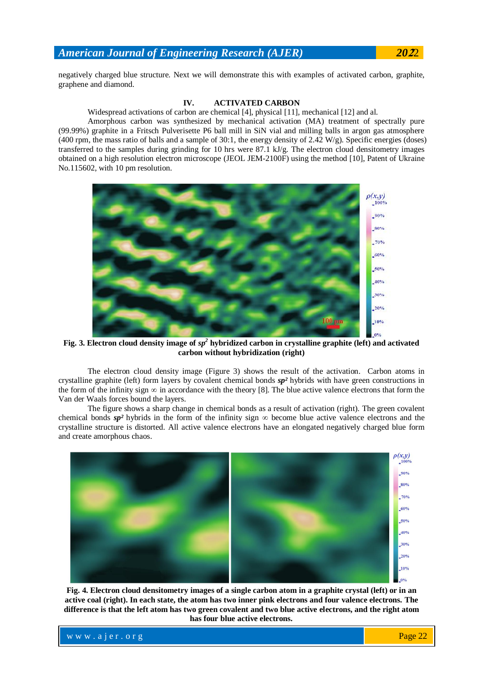negatively charged blue structure. Next we will demonstrate this with examples of activated carbon, graphite, graphene and diamond.

## **IV. ACTIVATED CARBON**

Widespread activations of carbon are chemical [4], physical [11], mechanical [12] and al.

Amorphous carbon was synthesized by mechanical activation (MA) treatment of spectrally pure (99.99%) graphite in a Fritsch Pulverisette P6 ball mill in SiN vial and milling balls in argon gas atmosphere (400 rpm, the mass ratio of balls and a sample of 30:1, the energy density of 2.42 W/g). Specific energies (doses) transferred to the samples during grinding for 10 hrs were 87.1 kJ/g. The electron cloud densitometry images obtained on a high resolution electron microscope (JEOL JEM-2100F) using the method [10], Patent of Ukraine No.115602, with 10 pm resolution.



**Fig. 3. Electron cloud density image of** *sp<sup>2</sup>* **hybridized carbon in crystalline graphite (left) and activated carbon without hybridization (right)**

The electron cloud density image (Figure 3) shows the result of the activation. Carbon atoms in crystalline graphite (left) form layers by covalent chemical bonds *sp²* hybrids with have green constructions in the form of the infinity sign  $\infty$  in accordance with the theory [8]. The blue active valence electrons that form the Van der Waals forces bound the layers.

The figure shows a sharp change in chemical bonds as a result of activation (right). The green covalent chemical bonds  $sp^2$  hybrids in the form of the infinity sign  $\infty$  become blue active valence electrons and the crystalline structure is distorted. All active valence electrons have an elongated negatively charged blue form and create amorphous chaos.



**Fig. 4. Electron cloud densitometry images of a single carbon atom in a graphite crystal (left) or in an active coal (right). In each state, the atom has two inner pink electrons and four valence electrons. The difference is that the left atom has two green covalent and two blue active electrons, and the right atom has four blue active electrons.**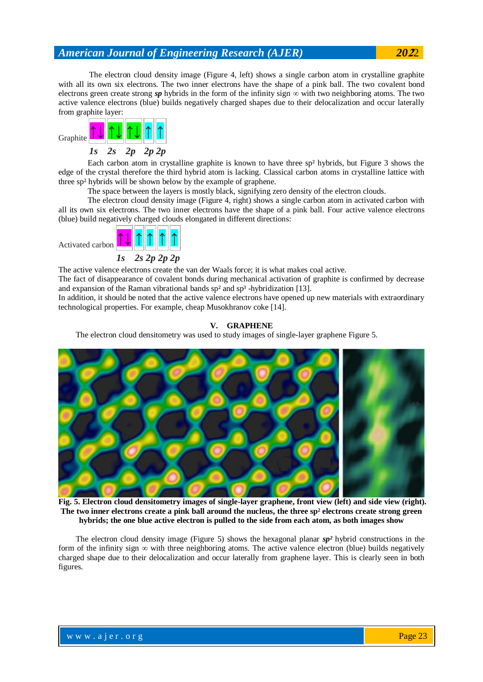The electron cloud density image (Figure 4, left) shows a single carbon atom in crystalline graphite with all its own six electrons. The two inner electrons have the shape of a pink ball. The two covalent bond electrons green create strong  $sp$  hybrids in the form of the infinity sign  $\infty$  with two neighboring atoms. The two active valence electrons (blue) builds negatively charged shapes due to their delocalization and occur laterally from graphite layer:



Each carbon atom in crystalline graphite is known to have three sp² hybrids, but Figure 3 shows the edge of the crystal therefore the third hybrid atom is lacking. Classical carbon atoms in crystalline lattice with three sp² hybrids will be shown below by the example of graphene.

The space between the layers is mostly black, signifying zero density of the electron clouds.

The electron cloud density image (Figure 4, right) shows a single carbon atom in activated carbon with all its own six electrons. The two inner electrons have the shape of a pink ball. Four active valence electrons (blue) build negatively charged clouds elongated in different directions:



The active valence electrons create the van der Waals force; it is what makes coal active.

The fact of disappearance of covalent bonds during mechanical activation of graphite is confirmed by decrease and expansion of the Raman vibrational bands  $sp^2$  and  $sp^3$  -hybridization [13].

In addition, it should be noted that the active valence electrons have opened up new materials with extraordinary technological properties. For example, cheap Musokhranov coke [14].

## **V. GRAPHENE**

The electron cloud densitometry was used to study images of single-layer graphene Figure 5.



**Fig. 5. Electron cloud densitometry images of single-layer graphene, front view (left) and side view (right). The two inner electrons create a pink ball around the nucleus, the three sp² electrons create strong green hybrids; the one blue active electron is pulled to the side from each atom, as both images show**

The electron cloud density image (Figure 5) shows the hexagonal planar *sp²* hybrid constructions in the form of the infinity sign  $\infty$  with three neighboring atoms. The active valence electron (blue) builds negatively charged shape due to their delocalization and occur laterally from graphene layer. This is clearly seen in both figures.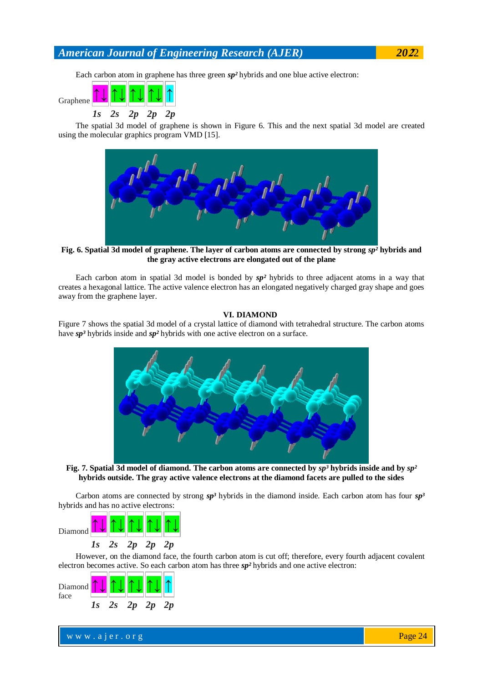Each carbon atom in graphene has three green *sp²* hybrids and one blue active electron:



The spatial 3d model of graphene is shown in Figure 6. This and the next spatial 3d model are created using the molecular graphics program VMD [15].



**Fig. 6. Spatial 3d model of graphene. The layer of carbon atoms are connected by strong**  $sp^2$  **hybrids and the gray active electrons are elongated out of the plane**

Each carbon atom in spatial 3d model is bonded by *sp²* hybrids to three adjacent atoms in a way that creates a hexagonal lattice. The active valence electron has an elongated negatively charged gray shape and goes away from the graphene layer.

## **VI. DIAMOND**

Figure 7 shows the spatial 3d model of a crystal lattice of diamond with tetrahedral structure. The carbon atoms have *sp³* hybrids inside and *sp²* hybrids with one active electron on a surface.



**Fig. 7. Spatial 3d model of diamond. The carbon atoms are connected by** *sp³* **hybrids inside and by** *sp²* **hybrids outside. The gray active valence electrons at the diamond facets are pulled to the sides**

Carbon atoms are connected by strong  $sp^3$  hybrids in the diamond inside. Each carbon atom has four  $sp^3$ hybrids and has no active electrons:



However, on the diamond face, the fourth carbon atom is cut off; therefore, every fourth adjacent covalent electron becomes active. So each carbon atom has three *sp²* hybrids and one active electron:



www.ajer.org where  $\mathcal{L} = \mathcal{L} \left( \mathcal{L} \right)$  is the set of  $\mathcal{L} \left( \mathcal{L} \right)$